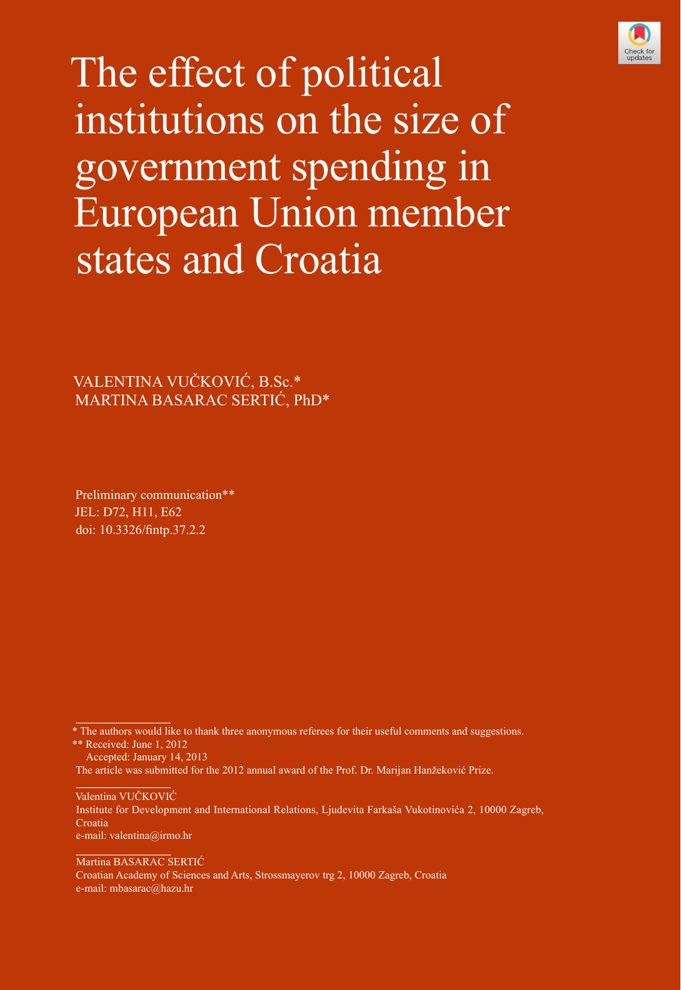

The effect of political institutions on the size of government spending in European Union member states and Croatia

VALENTINA VUČKOVIĆ, B.Sc.\* MARTINA BASARAC SERTIĆ, PhD\*

Preliminary communication\*\* JEL: D72, H11, E62 [doi: 10.3326/fintp.37.2.2](http://dx.doi.org/10.3326/fintp.37.2.2)

\* The authors would like to thank three anonymous referees for their useful comments and suggestions. \*\* Received: June 1, 2012

 Accepted: January 14, 2013 The article was submitted for the 2012 annual award of the Prof. Dr. Marijan Hanžeković Prize.

Valentina VUČKOVIĆ Institute for Development and International Relations, Ljudevita Farkaša Vukotinovića 2, 10000 Zagreb, Croatia e-mail: valentina@irmo.hr

Martina BASARAC SERTIĆ Croatian Academy of Sciences and Arts, Strossmayerov trg 2, 10000 Zagreb, Croatia e-mail: mbasarac@hazu.hr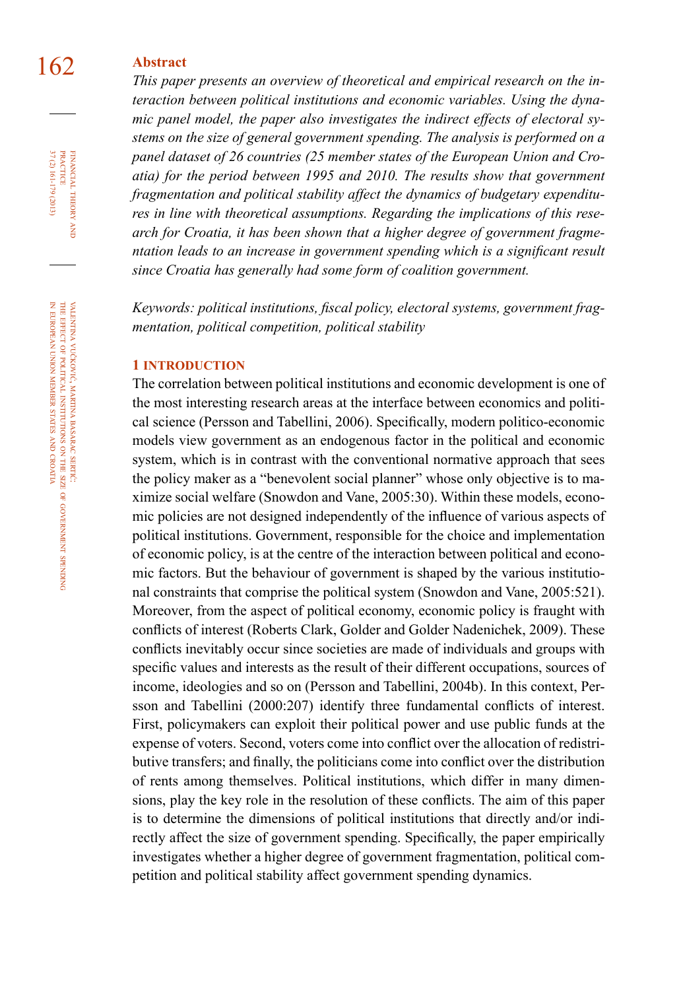# 162 **Abstract**

*This paper presents an overview of theoretical and empirical research on the interaction between political institutions and economic variables. Using the dynamic panel model, the paper also investigates the indirect effects of electoral systems on the size of general government spending. The analysis is performed on a panel dataset of 26 countries (25 member states of the European Union and Croatia) for the period between 1995 and 2010. The results show that government fragmentation and political stability affect the dynamics of budgetary expenditures in line with theoretical assumptions. Regarding the implications of this research for Croatia, it has been shown that a higher degree of government fragme*ntation leads to an increase in government spending which is a significant result *since Croatia has generally had some form of coalition government.*

*Keywords: political institutions, fiscal policy, electoral systems, government fragmentation, political competition, political stability*

#### **1 introduction**

The correlation between political institutions and economic development is one of the most interesting research areas at the interface between economics and political science (Persson and Tabellini, 2006). Specifically, modern politico-economic models view government as an endogenous factor in the political and economic system, which is in contrast with the conventional normative approach that sees the policy maker as a "benevolent social planner" whose only objective is to maximize social welfare (Snowdon and Vane, 2005:30). Within these models, economic policies are not designed independently of the influence of various aspects of political institutions. Government, responsible for the choice and implementation of economic policy, is at the centre of the interaction between political and economic factors. But the behaviour of government is shaped by the various institutional constraints that comprise the political system (Snowdon and Vane, 2005:521). Moreover, from the aspect of political economy, economic policy is fraught with conflicts of interest (Roberts Clark, Golder and Golder Nadenichek, 2009). These conflicts inevitably occur since societies are made of individuals and groups with specific values and interests as the result of their different occupations, sources of income, ideologies and so on (Persson and Tabellini, 2004b). In this context, Persson and Tabellini (2000:207) identify three fundamental conflicts of interest. First, policymakers can exploit their political power and use public funds at the expense of voters. Second, voters come into conflict over the allocation of redistributive transfers; and finally, the politicians come into conflict over the distribution of rents among themselves. Political institutions, which differ in many dimensions, play the key role in the resolution of these conflicts. The aim of this paper is to determine the dimensions of political institutions that directly and/or indirectly affect the size of government spending. Specifically, the paper empirically investigates whether a higher degree of government fragmentation, political competition and political stability affect government spending dynamics.

FINANCIAL THEORY<br>PRACTICE 37 (2) 161-179 (2013) 37 (2) 161-179 (2013) PRACTICE financial theory and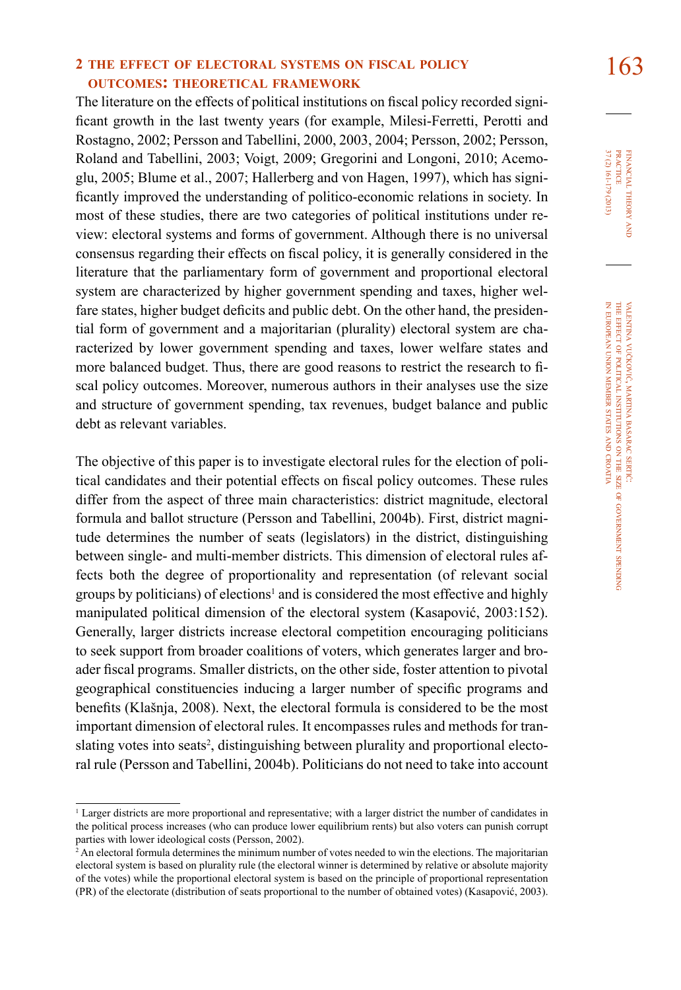# **<sup>2</sup> the effect of electoral systems on fiscal policy** 163 **outcomes: theoretical framework**

The literature on the effects of political institutions on fiscal policy recorded significant growth in the last twenty years (for example, Milesi-Ferretti, Perotti and Rostagno, 2002; Persson and Tabellini, 2000, 2003, 2004; Persson, 2002; Persson, Roland and Tabellini, 2003; Voigt, 2009; Gregorini and Longoni, 2010; Acemoglu, 2005; Blume et al., 2007; Hallerberg and von Hagen, 1997), which has significantly improved the understanding of politico-economic relations in society. In most of these studies, there are two categories of political institutions under review: electoral systems and forms of government. Although there is no universal consensus regarding their effects on fiscal policy, it is generally considered in the literature that the parliamentary form of government and proportional electoral system are characterized by higher government spending and taxes, higher welfare states, higher budget deficits and public debt. On the other hand, the presidential form of government and a majoritarian (plurality) electoral system are characterized by lower government spending and taxes, lower welfare states and more balanced budget. Thus, there are good reasons to restrict the research to fiscal policy outcomes. Moreover, numerous authors in their analyses use the size and structure of government spending, tax revenues, budget balance and public debt as relevant variables.

The objective of this paper is to investigate electoral rules for the election of political candidates and their potential effects on fiscal policy outcomes. These rules differ from the aspect of three main characteristics: district magnitude, electoral formula and ballot structure (Persson and Tabellini, 2004b). First, district magnitude determines the number of seats (legislators) in the district, distinguishing between single- and multi-member districts. This dimension of electoral rules affects both the degree of proportionality and representation (of relevant social groups by politicians) of elections<sup>1</sup> and is considered the most effective and highly manipulated political dimension of the electoral system (Kasapović, 2003:152). Generally, larger districts increase electoral competition encouraging politicians to seek support from broader coalitions of voters, which generates larger and broader fiscal programs. Smaller districts, on the other side, foster attention to pivotal geographical constituencies inducing a larger number of specific programs and benefits (Klašnja, 2008). Next, the electoral formula is considered to be the most important dimension of electoral rules. It encompasses rules and methods for translating votes into seats<sup>2</sup>, distinguishing between plurality and proportional electoral rule (Persson and Tabellini, 2004b). Politicians do not need to take into account

<sup>1</sup> Larger districts are more proportional and representative; with a larger district the number of candidates in the political process increases (who can produce lower equilibrium rents) but also voters can punish corrupt parties with lower ideological costs (Persson, 2002).

<sup>2</sup> An electoral formula determines the minimum number of votes needed to win the elections. The majoritarian electoral system is based on plurality rule (the electoral winner is determined by relative or absolute majority of the votes) while the proportional electoral system is based on the principle of proportional representation (PR) of the electorate (distribution of seats proportional to the number of obtained votes) (Kasapović, 2003).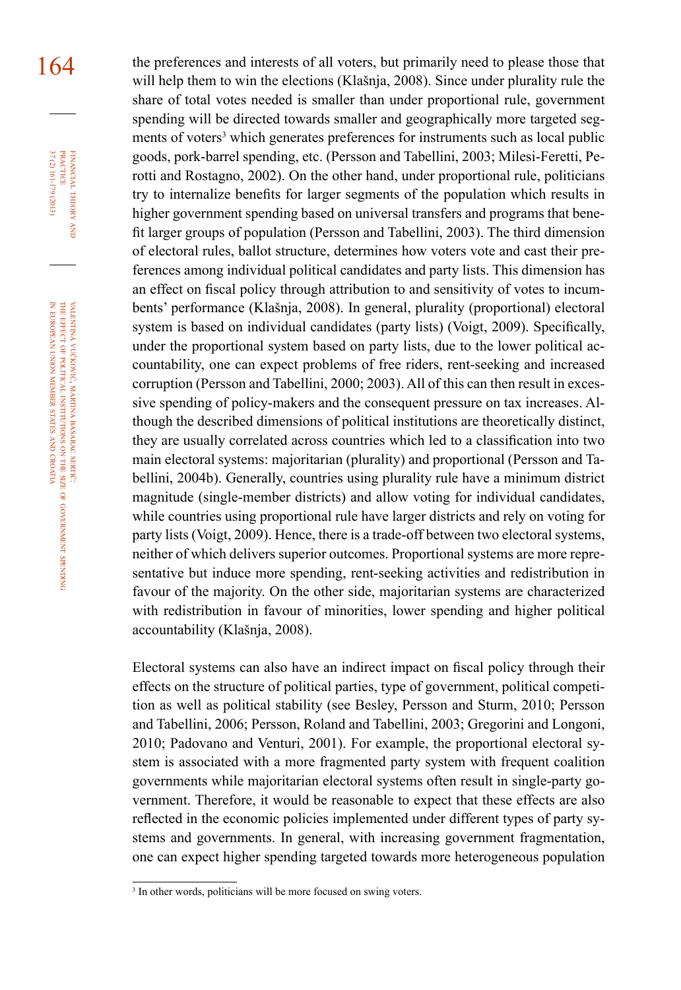164 the preferences and interests of all voters, but primarily need to please those that will help them to win the elections (Klašnja, 2008). Since under plurality rule the share of total votes needed is smaller than under proportional rule, government spending will be directed towards smaller and geographically more targeted segments of voters<sup>3</sup> which generates preferences for instruments such as local public goods, pork-barrel spending, etc. (Persson and Tabellini, 2003; Milesi-Feretti, Perotti and Rostagno, 2002). On the other hand, under proportional rule, politicians try to internalize benefits for larger segments of the population which results in higher government spending based on universal transfers and programs that benefit larger groups of population (Persson and Tabellini, 2003). The third dimension of electoral rules, ballot structure, determines how voters vote and cast their preferences among individual political candidates and party lists. This dimension has an effect on fiscal policy through attribution to and sensitivity of votes to incumbents' performance (Klašnja, 2008). In general, plurality (proportional) electoral system is based on individual candidates (party lists) (Voigt, 2009). Specifically, under the proportional system based on party lists, due to the lower political accountability, one can expect problems of free riders, rent-seeking and increased corruption (Persson and Tabellini, 2000; 2003). All of this can then result in excessive spending of policy-makers and the consequent pressure on tax increases. Although the described dimensions of political institutions are theoretically distinct, they are usually correlated across countries which led to a classification into two main electoral systems: majoritarian (plurality) and proportional (Persson and Tabellini, 2004b). Generally, countries using plurality rule have a minimum district magnitude (single-member districts) and allow voting for individual candidates, while countries using proportional rule have larger districts and rely on voting for party lists (Voigt, 2009). Hence, there is a trade-off between two electoral systems, neither of which delivers superior outcomes. Proportional systems are more representative but induce more spending, rent-seeking activities and redistribution in favour of the majority. On the other side, majoritarian systems are characterized with redistribution in favour of minorities, lower spending and higher political accountability (Klašnja, 2008).

> Electoral systems can also have an indirect impact on fiscal policy through their effects on the structure of political parties, type of government, political competition as well as political stability (see Besley, Persson and Sturm, 2010; Persson and Tabellini, 2006; Persson, Roland and Tabellini, 2003; Gregorini and Longoni, 2010; Padovano and Venturi, 2001). For example, the proportional electoral system is associated with a more fragmented party system with frequent coalition governments while majoritarian electoral systems often result in single-party government. Therefore, it would be reasonable to expect that these effects are also reflected in the economic policies implemented under different types of party systems and governments. In general, with increasing government fragmentation, one can expect higher spending targeted towards more heterogeneous population

FINANCIAL THEORY<br>PRACTICE 37 (2) 161-179 (2013) 37 (2) 161-179 (2013) PRACTICE financial theory and

valentina vučković, martina basarac sertić: the **EFFECT** of political institutions ş the size of government spending z european union member states and croatia

<sup>&</sup>lt;sup>3</sup> In other words, politicians will be more focused on swing voters.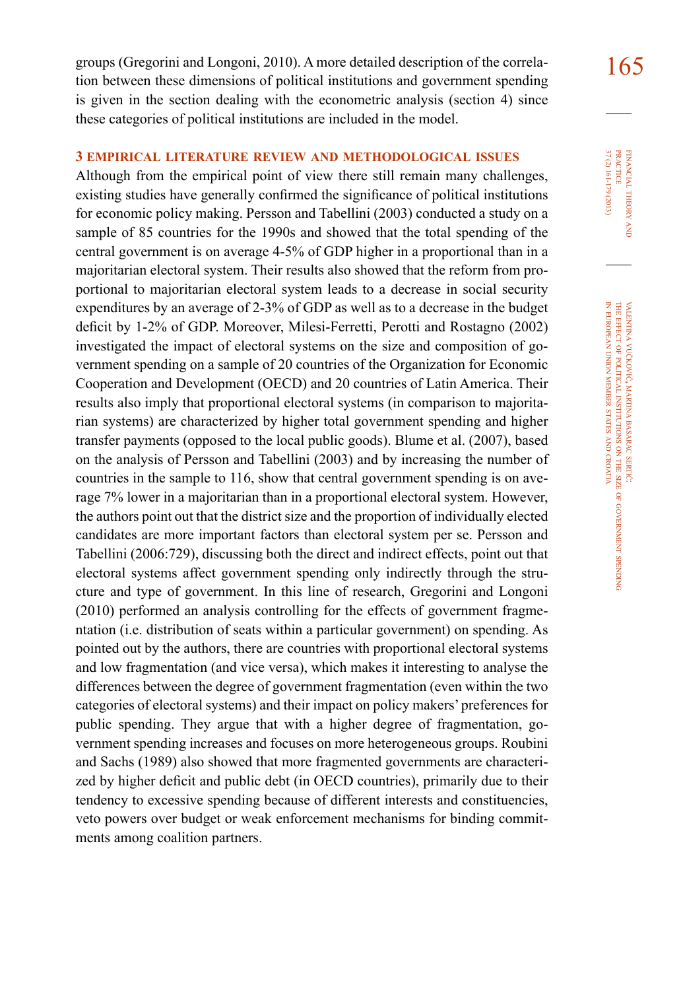groups (Gregorini and Longoni, 2010). A more detailed description of the correla- $\frac{165}{165}$ tion between these dimensions of political institutions and government spending is given in the section dealing with the econometric analysis (section 4) since these categories of political institutions are included in the model.

## **3 empirical literature review and methodological issues**

Although from the empirical point of view there still remain many challenges, existing studies have generally confirmed the significance of political institutions for economic policy making. Persson and Tabellini (2003) conducted a study on a sample of 85 countries for the 1990s and showed that the total spending of the central government is on average 4-5% of GDP higher in a proportional than in a majoritarian electoral system. Their results also showed that the reform from proportional to majoritarian electoral system leads to a decrease in social security expenditures by an average of 2-3% of GDP as well as to a decrease in the budget deficit by 1-2% of GDP. Moreover, Milesi-Ferretti, Perotti and Rostagno (2002) investigated the impact of electoral systems on the size and composition of government spending on a sample of 20 countries of the Organization for Economic Cooperation and Development (OECD) and 20 countries of Latin America. Their results also imply that proportional electoral systems (in comparison to majoritarian systems) are characterized by higher total government spending and higher transfer payments (opposed to the local public goods). Blume et al. (2007), based on the analysis of Persson and Tabellini (2003) and by increasing the number of countries in the sample to 116, show that central government spending is on average 7% lower in a majoritarian than in a proportional electoral system. However, the authors point out that the district size and the proportion of individually elected candidates are more important factors than electoral system per se. Persson and Tabellini (2006:729), discussing both the direct and indirect effects, point out that electoral systems affect government spending only indirectly through the structure and type of government. In this line of research, Gregorini and Longoni (2010) performed an analysis controlling for the effects of government fragmentation (i.e. distribution of seats within a particular government) on spending. As pointed out by the authors, there are countries with proportional electoral systems and low fragmentation (and vice versa), which makes it interesting to analyse the differences between the degree of government fragmentation (even within the two categories of electoral systems) and their impact on policy makers' preferences for public spending. They argue that with a higher degree of fragmentation, government spending increases and focuses on more heterogeneous groups. Roubini and Sachs (1989) also showed that more fragmented governments are characterized by higher deficit and public debt (in OECD countries), primarily due to their tendency to excessive spending because of different interests and constituencies, veto powers over budget or weak enforcement mechanisms for binding commitments among coalition partners.

37 (2) 161-179 (2013) **PRACTICE** FINANCIAL THEORY 37 (2) 161-179 (2013) practice financial theory and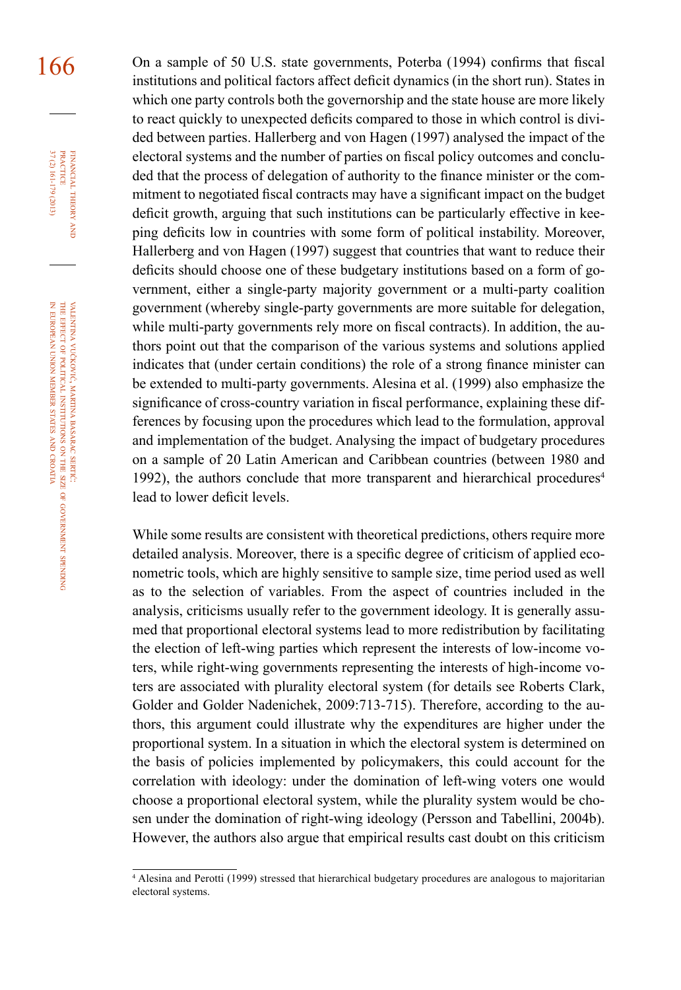166 On a sample of 50 U.S. state governments, Poterba (1994) confirms that fiscal institutions and political factors affect deficit dynamics (in the short run). States in which one party controls both the governorship and the state house are more likely to react quickly to unexpected deficits compared to those in which control is divided between parties. Hallerberg and von Hagen (1997) analysed the impact of the electoral systems and the number of parties on fiscal policy outcomes and concluded that the process of delegation of authority to the finance minister or the commitment to negotiated fiscal contracts may have a significant impact on the budget deficit growth, arguing that such institutions can be particularly effective in keeping deficits low in countries with some form of political instability. Moreover, Hallerberg and von Hagen (1997) suggest that countries that want to reduce their deficits should choose one of these budgetary institutions based on a form of government, either a single-party majority government or a multi-party coalition government (whereby single-party governments are more suitable for delegation, while multi-party governments rely more on fiscal contracts). In addition, the authors point out that the comparison of the various systems and solutions applied indicates that (under certain conditions) the role of a strong finance minister can be extended to multi-party governments. Alesina et al. (1999) also emphasize the significance of cross-country variation in fiscal performance, explaining these differences by focusing upon the procedures which lead to the formulation, approval and implementation of the budget. Analysing the impact of budgetary procedures on a sample of 20 Latin American and Caribbean countries (between 1980 and 1992), the authors conclude that more transparent and hierarchical procedures<sup>4</sup> lead to lower deficit levels.

> While some results are consistent with theoretical predictions, others require more detailed analysis. Moreover, there is a specific degree of criticism of applied econometric tools, which are highly sensitive to sample size, time period used as well as to the selection of variables. From the aspect of countries included in the analysis, criticisms usually refer to the government ideology. It is generally assumed that proportional electoral systems lead to more redistribution by facilitating the election of left-wing parties which represent the interests of low-income voters, while right-wing governments representing the interests of high-income voters are associated with plurality electoral system (for details see Roberts Clark, Golder and Golder Nadenichek, 2009:713-715). Therefore, according to the authors, this argument could illustrate why the expenditures are higher under the proportional system. In a situation in which the electoral system is determined on the basis of policies implemented by policymakers, this could account for the correlation with ideology: under the domination of left-wing voters one would choose a proportional electoral system, while the plurality system would be chosen under the domination of right-wing ideology (Persson and Tabellini, 2004b). However, the authors also argue that empirical results cast doubt on this criticism

financial

FINANCIAL THEORY<br>PRACTICE 37 (2) 161-179 (2013)

37 (2) 161-179 (2013) PRACTICE

theory and

government

spending

<sup>4</sup> Alesina and Perotti (1999) stressed that hierarchical budgetary procedures are analogous to majoritarian electoral systems.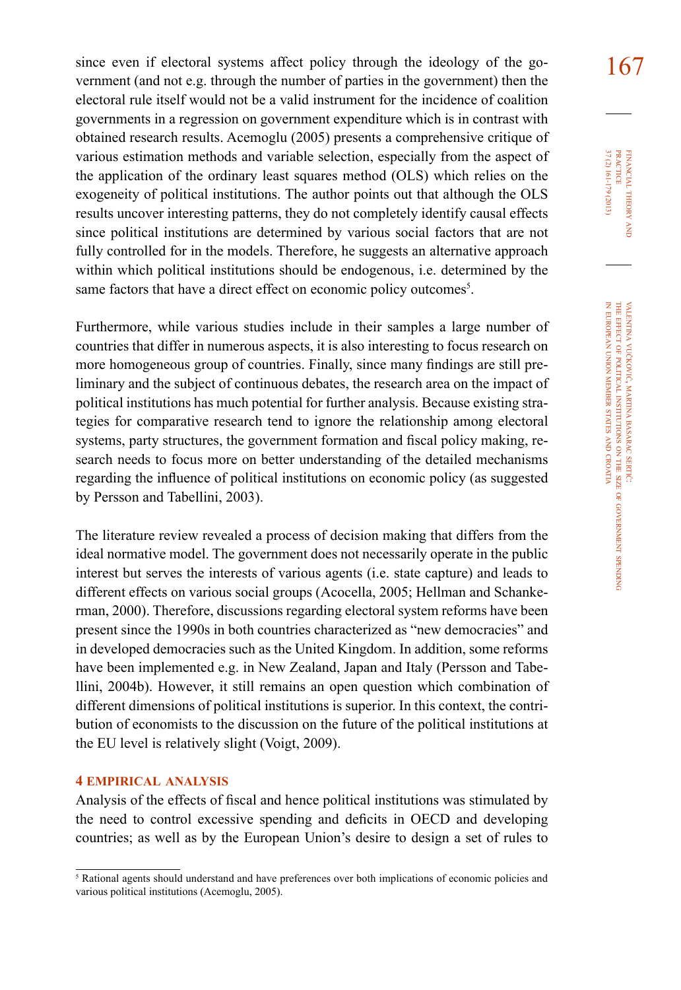since even if electoral systems affect policy through the ideology of the go- $\frac{167}{167}$ vernment (and not e.g. through the number of parties in the government) then the electoral rule itself would not be a valid instrument for the incidence of coalition governments in a regression on government expenditure which is in contrast with obtained research results. Acemoglu (2005) presents a comprehensive critique of various estimation methods and variable selection, especially from the aspect of the application of the ordinary least squares method (OLS) which relies on the exogeneity of political institutions. The author points out that although the OLS results uncover interesting patterns, they do not completely identify causal effects since political institutions are determined by various social factors that are not fully controlled for in the models. Therefore, he suggests an alternative approach within which political institutions should be endogenous, i.e. determined by the same factors that have a direct effect on economic policy outcomes<sup>5</sup>.

Furthermore, while various studies include in their samples a large number of countries that differ in numerous aspects, it is also interesting to focus research on more homogeneous group of countries. Finally, since many findings are still preliminary and the subject of continuous debates, the research area on the impact of political institutions has much potential for further analysis. Because existing strategies for comparative research tend to ignore the relationship among electoral systems, party structures, the government formation and fiscal policy making, research needs to focus more on better understanding of the detailed mechanisms regarding the influence of political institutions on economic policy (as suggested by Persson and Tabellini, 2003).

The literature review revealed a process of decision making that differs from the ideal normative model. The government does not necessarily operate in the public interest but serves the interests of various agents (i.e. state capture) and leads to different effects on various social groups (Acocella, 2005; Hellman and Schankerman, 2000). Therefore, discussions regarding electoral system reforms have been present since the 1990s in both countries characterized as "new democracies" and in developed democracies such as the United Kingdom. In addition, some reforms have been implemented e.g. in New Zealand, Japan and Italy (Persson and Tabellini, 2004b). However, it still remains an open question which combination of different dimensions of political institutions is superior. In this context, the contribution of economists to the discussion on the future of the political institutions at the EU level is relatively slight (Voigt, 2009).

#### **4 empirical analysis**

Analysis of the effects of fiscal and hence political institutions was stimulated by the need to control excessive spending and deficits in OECD and developing countries; as well as by the European Union's desire to design a set of rules to 37 (2) 161-179 (2013) FINANCIAL THEORY<br>PRACTICE 37 (2) 161-179 (2013) practice financial theory i<br>And

<sup>5</sup> Rational agents should understand and have preferences over both implications of economic policies and various political institutions (Acemoglu, 2005).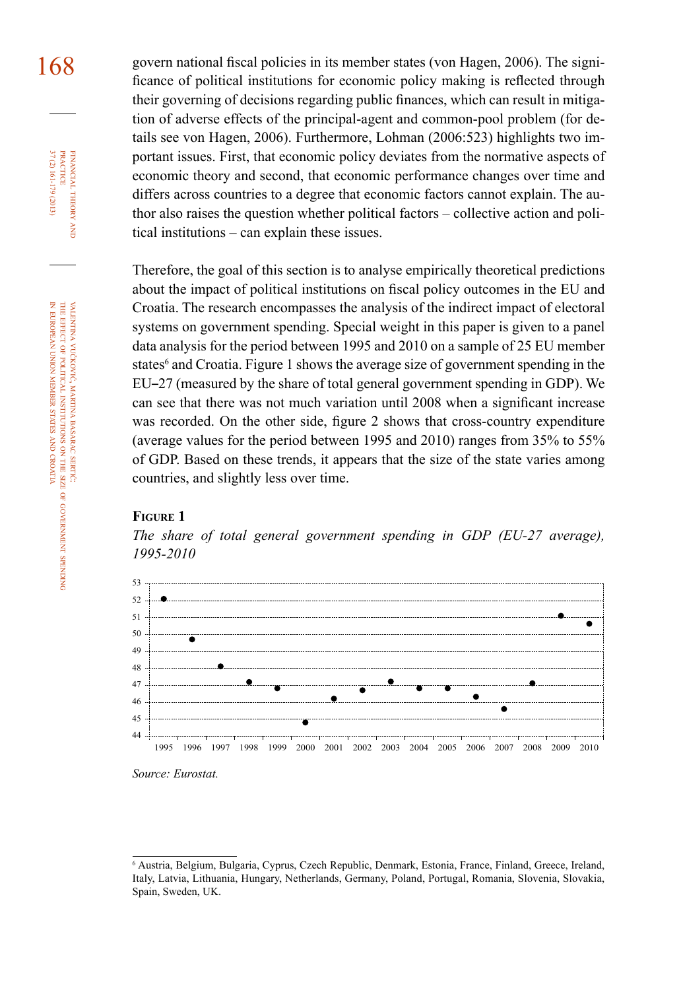168 govern national fiscal policies in its member states (von Hagen, 2006). The significance of political institutions for economic policy making is reflected through their governing of decisions regarding public finances, which can result in mitigation of adverse effects of the principal-agent and common-pool problem (for details see von Hagen, 2006). Furthermore, Lohman (2006:523) highlights two important issues. First, that economic policy deviates from the normative aspects of economic theory and second, that economic performance changes over time and differs across countries to a degree that economic factors cannot explain. The author also raises the question whether political factors – collective action and political institutions – can explain these issues.

> Therefore, the goal of this section is to analyse empirically theoretical predictions about the impact of political institutions on fiscal policy outcomes in the EU and Croatia. The research encompasses the analysis of the indirect impact of electoral systems on government spending. Special weight in this paper is given to a panel data analysis for the period between 1995 and 2010 on a sample of 25 EU member states<sup>6</sup> and Croatia. Figure 1 shows the average size of government spending in the EU–27 (measured by the share of total general government spending in GDP). We can see that there was not much variation until 2008 when a significant increase was recorded. On the other side, figure 2 shows that cross-country expenditure (average values for the period between 1995 and 2010) ranges from 35% to 55% of GDP. Based on these trends, it appears that the size of the state varies among countries, and slightly less over time.

#### **Figure 1**

*The share of total general government spending in GDP (EU-27 average), 1995-2010* 



*Source: Eurostat.*

spending

financial

37 (2) 161-179 (2013) PRACTICE

37 (2) 161-179 (2013) **PRACTICE** FINANCIAL THEORY

theory and

<sup>6</sup> Austria, Belgium, Bulgaria, Cyprus, Czech Republic, Denmark, Estonia, France, Finland, Greece, Ireland, Italy, Latvia, Lithuania, Hungary, Netherlands, Germany, Poland, Portugal, Romania, Slovenia, Slovakia, Spain, Sweden, UK.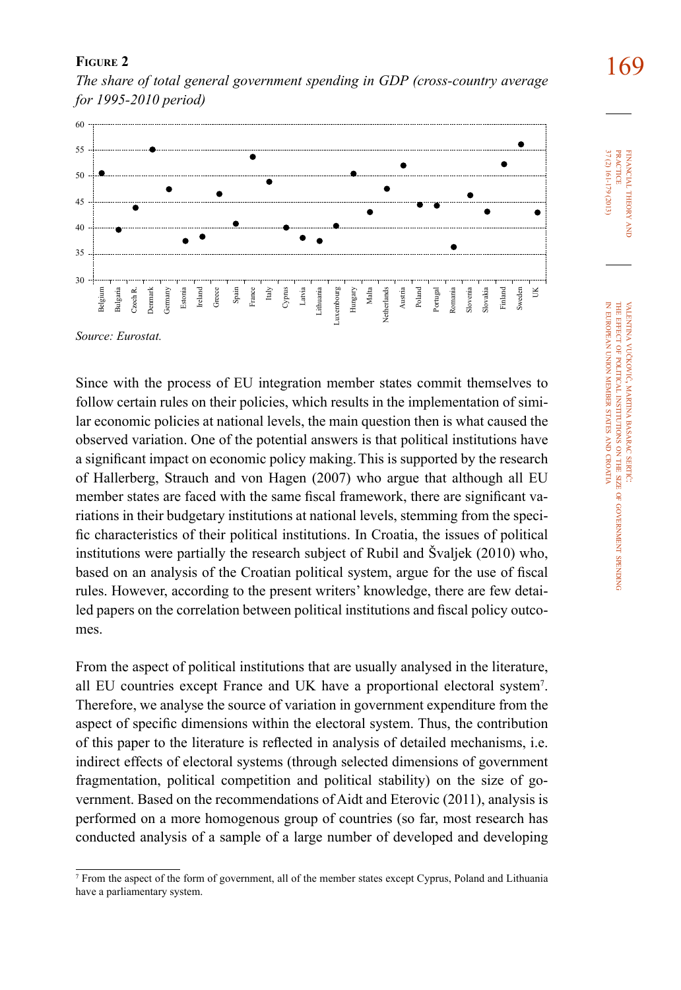

**FIGURE 2 169**<br>The share of total general government spending in GDP (cross-country average **169** *for 1995-2010 period)* 

*Source: Eurostat.*

Since with the process of EU integration member states commit themselves to follow certain rules on their policies, which results in the implementation of similar economic policies at national levels, the main question then is what caused the observed variation. One of the potential answers is that political institutions have a significant impact on economic policy making.This is supported by the research of Hallerberg, Strauch and von Hagen (2007) who argue that although all EU member states are faced with the same fiscal framework, there are significant variations in their budgetary institutions at national levels, stemming from the specific characteristics of their political institutions. In Croatia, the issues of political institutions were partially the research subject of Rubil and Švaljek (2010) who, based on an analysis of the Croatian political system, argue for the use of fiscal rules. However, according to the present writers' knowledge, there are few detailed papers on the correlation between political institutions and fiscal policy outcomes.

From the aspect of political institutions that are usually analysed in the literature, all EU countries except France and UK have a proportional electoral system7 . Therefore, we analyse the source of variation in government expenditure from the aspect of specific dimensions within the electoral system. Thus, the contribution of this paper to the literature is reflected in analysis of detailed mechanisms, i.e. indirect effects of electoral systems (through selected dimensions of government fragmentation, political competition and political stability) on the size of government. Based on the recommendations of Aidt and Eterovic (2011), analysis is performed on a more homogenous group of countries (so far, most research has conducted analysis of a sample of a large number of developed and developing

financial

37 (2) 161-179 (2013) practice

37 (2) 161-179 (2013) **PRACTICE** FINANCIAL THEORY

theory and

valentina

the effect of political

european

union

member

states and croatia vučković, martina

VALENTINA VUČKOVIĆ, MARTINA BASARAC SERTIĆ

basarac

institutions

ş the size of

government

spending

<sup>7</sup> From the aspect of the form of government, all of the member states except Cyprus, Poland and Lithuania have a parliamentary system.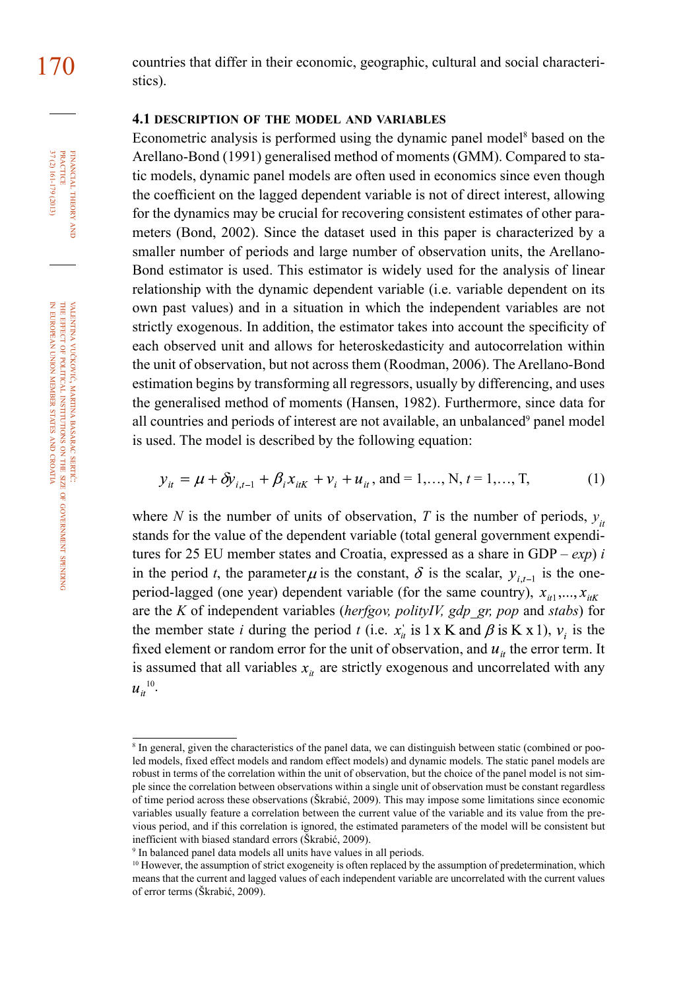FINANCIAL THEORY<br>PRACTICE 37 (2) 161-179 (2013) 37 (2) 161-179 (2013) PRACTICE financial theory and

valentina vučković, martina basarac sertić: the **EFFECT** of political institutions ş the size of government spending z european union member states and croatia

170 countries that differ in their economic, geographic, cultural and social characteristics).

### **4.1 description of the model and variables**

Econometric analysis is performed using the dynamic panel model<sup>8</sup> based on the Arellano-Bond (1991) generalised method of moments (GMM). Compared to static models, dynamic panel models are often used in economics since even though the coefficient on the lagged dependent variable is not of direct interest, allowing for the dynamics may be crucial for recovering consistent estimates of other parameters (Bond, 2002). Since the dataset used in this paper is characterized by a smaller number of periods and large number of observation units, the Arellano-Bond estimator is used. This estimator is widely used for the analysis of linear relationship with the dynamic dependent variable (i.e. variable dependent on its own past values) and in a situation in which the independent variables are not strictly exogenous. In addition, the estimator takes into account the specificity of each observed unit and allows for heteroskedasticity and autocorrelation within the unit of observation, but not across them (Roodman, 2006). The Arellano-Bond estimation begins by transforming all regressors, usually by differencing, and uses the generalised method of moments (Hansen, 1982). Furthermore, since data for all countries and periods of interest are not available, an unbalanced<sup>9</sup> panel model is used. The model is described by the following equation:

$$
y_{it} = \mu + \delta y_{i,t-1} + \beta_i x_{itK} + v_i + u_{it}
$$
, and = 1,..., N,  $t = 1,..., T,$  (1)

where *N* is the number of units of observation, *T* is the number of periods,  $y_i$ stands for the value of the dependent variable (total general government expenditures for 25 EU member states and Croatia, expressed as a share in GDP – *exp*) *i*  in the period *t*, the parameter  $\mu$  is the constant,  $\delta$  is the scalar,  $y_{i,t-1}$  is the oneperiod-lagged (one year) dependent variable (for the same country),  $x_{i1},...,x_{iK}$ are the *K* of independent variables (*herfgov, polityIV, gdp\_gr, pop* and *stabs*) for the member state *i* during the period *t* (i.e.  $x'_n$  is 1 x K and  $\beta$  is K x 1),  $v_i$  is the fixed element or random error for the unit of observation, and  $u_{it}$  the error term. It is assumed that all variables  $x<sub>i</sub>$  are strictly exogenous and uncorrelated with any  $u_{ii}^{10}$ .

<sup>&</sup>lt;sup>8</sup> In general, given the characteristics of the panel data, we can distinguish between static (combined or pooled models, fixed effect models and random effect models) and dynamic models. The static panel models are robust in terms of the correlation within the unit of observation, but the choice of the panel model is not simple since the correlation between observations within a single unit of observation must be constant regardless of time period across these observations (Škrabić, 2009). This may impose some limitations since economic variables usually feature a correlation between the current value of the variable and its value from the previous period, and if this correlation is ignored, the estimated parameters of the model will be consistent but inefficient with biased standard errors (Škrabić, 2009).

<sup>9</sup> In balanced panel data models all units have values in all periods.

<sup>&</sup>lt;sup>10</sup> However, the assumption of strict exogeneity is often replaced by the assumption of predetermination, which means that the current and lagged values of each independent variable are uncorrelated with the current values of error terms (Škrabić, 2009).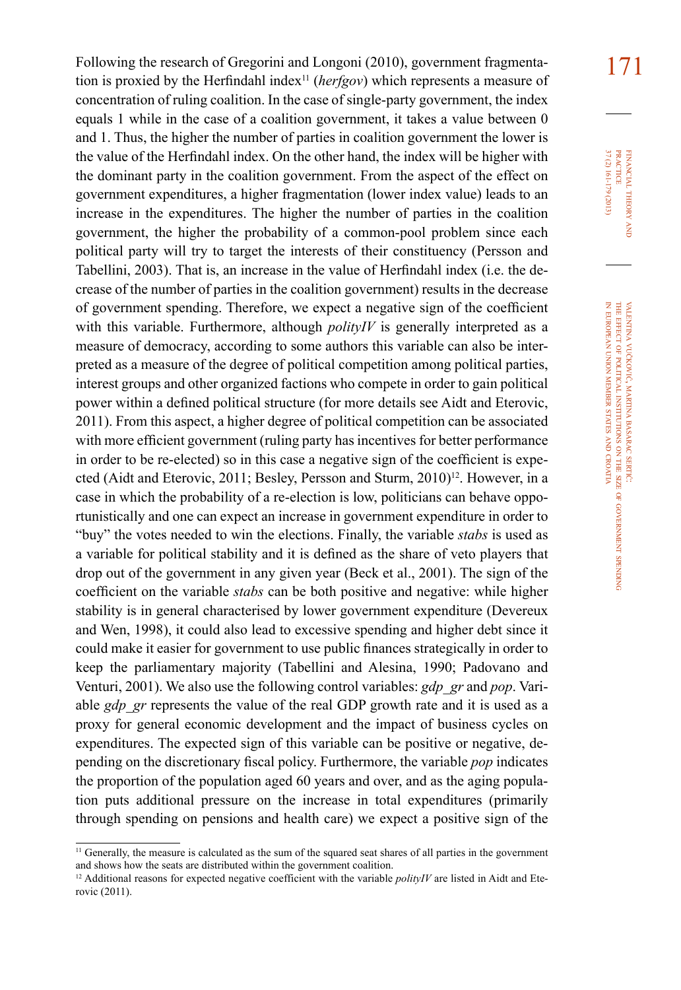Following the research of Gregorini and Longoni (2010), government fragmenta-<br>
171 tion is proxied by the Herfindahl index11 (*herfgov*) which represents a measure of concentration of ruling coalition. In the case of single-party government, the index equals 1 while in the case of a coalition government, it takes a value between 0 and 1. Thus, the higher the number of parties in coalition government the lower is the value of the Herfindahl index. On the other hand, the index will be higher with the dominant party in the coalition government. From the aspect of the effect on government expenditures, a higher fragmentation (lower index value) leads to an increase in the expenditures. The higher the number of parties in the coalition government, the higher the probability of a common-pool problem since each political party will try to target the interests of their constituency (Persson and Tabellini, 2003). That is, an increase in the value of Herfindahl index (i.e. the decrease of the number of parties in the coalition government) results in the decrease of government spending. Therefore, we expect a negative sign of the coefficient with this variable. Furthermore, although *polityIV* is generally interpreted as a measure of democracy, according to some authors this variable can also be interpreted as a measure of the degree of political competition among political parties, interest groups and other organized factions who compete in order to gain political power within a defined political structure (for more details see Aidt and Eterovic, 2011). From this aspect, a higher degree of political competition can be associated with more efficient government (ruling party has incentives for better performance in order to be re-elected) so in this case a negative sign of the coefficient is expected (Aidt and Eterovic, 2011; Besley, Persson and Sturm, 2010)<sup>12</sup>. However, in a case in which the probability of a re-election is low, politicians can behave opportunistically and one can expect an increase in government expenditure in order to "buy" the votes needed to win the elections. Finally, the variable *stabs* is used as a variable for political stability and it is defined as the share of veto players that drop out of the government in any given year (Beck et al., 2001). The sign of the coefficient on the variable *stabs* can be both positive and negative: while higher stability is in general characterised by lower government expenditure (Devereux and Wen, 1998), it could also lead to excessive spending and higher debt since it could make it easier for government to use public finances strategically in order to keep the parliamentary majority (Tabellini and Alesina, 1990; Padovano and Venturi, 2001). We also use the following control variables: *gdp\_gr* and *pop*. Variable *gdp* gr represents the value of the real GDP growth rate and it is used as a proxy for general economic development and the impact of business cycles on expenditures. The expected sign of this variable can be positive or negative, depending on the discretionary fiscal policy. Furthermore, the variable *pop* indicates the proportion of the population aged 60 years and over, and as the aging population puts additional pressure on the increase in total expenditures (primarily through spending on pensions and health care) we expect a positive sign of the

37 (2) 161-179 (2013) FINANCIAL THEORY<br>PRACTICE 37 (2) 161-179 (2013) practice financial theory i<br>And

<sup>&</sup>lt;sup>11</sup> Generally, the measure is calculated as the sum of the squared seat shares of all parties in the government and shows how the seats are distributed within the government coalition.

<sup>&</sup>lt;sup>12</sup> Additional reasons for expected negative coefficient with the variable  $\text{polityIV}$  are listed in Aidt and Eterovic (2011).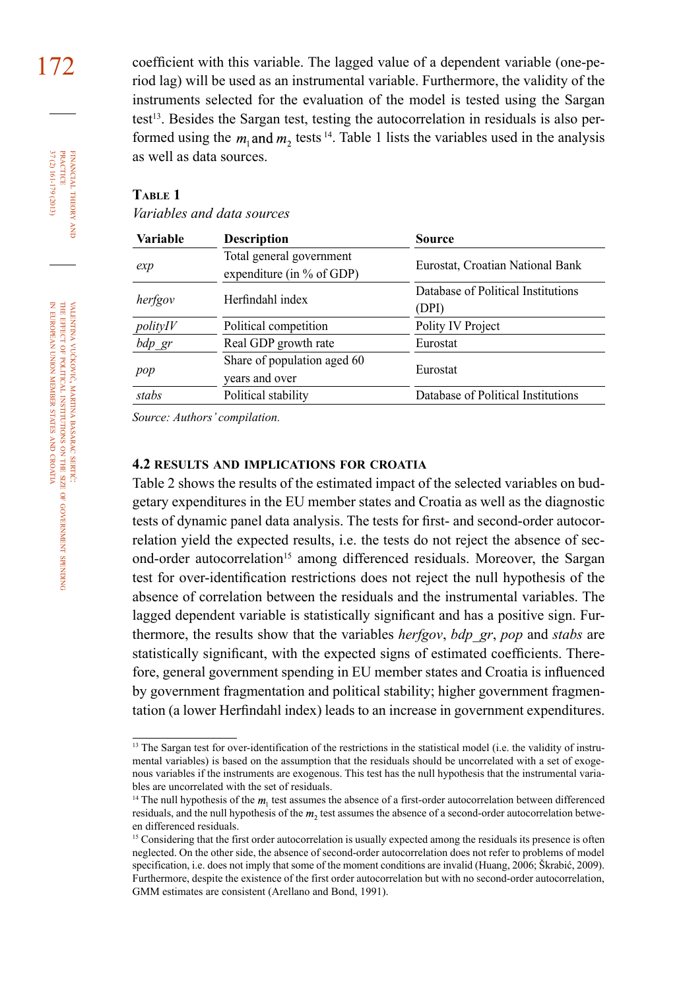172 coefficient with this variable. The lagged value of a dependent variable (one-period lag) will be used as an instrumental variable. Furthermore, the validity of the instruments selected for the evaluation of the model is tested using the Sargan test<sup>13</sup>. Besides the Sargan test, testing the autocorrelation in residuals is also performed using the  $m_1$  and  $m_2$  tests <sup>14</sup>. Table 1 lists the variables used in the analysis as well as data sources.

#### **Table 1**

*Variables and data sources* 

| Variable  | <b>Description</b>                                      | Source                                      |
|-----------|---------------------------------------------------------|---------------------------------------------|
| exp       | Total general government<br>expenditure (in $%$ of GDP) | Eurostat, Croatian National Bank            |
| herfgov   | Herfindahl index                                        | Database of Political Institutions<br>(DPI) |
| polityIV  | Political competition                                   | Polity IV Project                           |
| $bdp\_gr$ | Real GDP growth rate                                    | Eurostat                                    |
| pop       | Share of population aged 60<br>vears and over           | Eurostat                                    |
| stabs     | Political stability                                     | Database of Political Institutions          |

*Source: Authors' compilation.*

## **4.2 results and implications for croatia**

Table 2 shows the results of the estimated impact of the selected variables on budgetary expenditures in the EU member states and Croatia as well as the diagnostic tests of dynamic panel data analysis. The tests for first- and second-order autocorrelation yield the expected results, i.e. the tests do not reject the absence of second-order autocorrelation<sup>15</sup> among differenced residuals. Moreover, the Sargan test for over-identification restrictions does not reject the null hypothesis of the absence of correlation between the residuals and the instrumental variables. The lagged dependent variable is statistically significant and has a positive sign. Furthermore, the results show that the variables *herfgov*, *bdp\_gr*, *pop* and *stabs* are statistically significant, with the expected signs of estimated coefficients. Therefore, general government spending in EU member states and Croatia is influenced by government fragmentation and political stability; higher government fragmentation (a lower Herfindahl index) leads to an increase in government expenditures.

financial

37 (2) 161-179 (2013) PRACTICE

37 (2) 161-179 (2013) FINANCIAL THEORY<br>PRACTICE

theory and

<sup>&</sup>lt;sup>13</sup> The Sargan test for over-identification of the restrictions in the statistical model (i.e. the validity of instrumental variables) is based on the assumption that the residuals should be uncorrelated with a set of exogenous variables if the instruments are exogenous. This test has the null hypothesis that the instrumental variables are uncorrelated with the set of residuals.

<sup>&</sup>lt;sup>14</sup> The null hypothesis of the  $m<sub>1</sub>$  test assumes the absence of a first-order autocorrelation between differenced residuals, and the null hypothesis of the  $m<sub>2</sub>$  test assumes the absence of a second-order autocorrelation between differenced residuals.

<sup>&</sup>lt;sup>15</sup> Considering that the first order autocorrelation is usually expected among the residuals its presence is often neglected. On the other side, the absence of second-order autocorrelation does not refer to problems of model specification, i.e. does not imply that some of the moment conditions are invalid (Huang, 2006; Škrabić, 2009). Furthermore, despite the existence of the first order autocorrelation but with no second-order autocorrelation, GMM estimates are consistent (Arellano and Bond, 1991).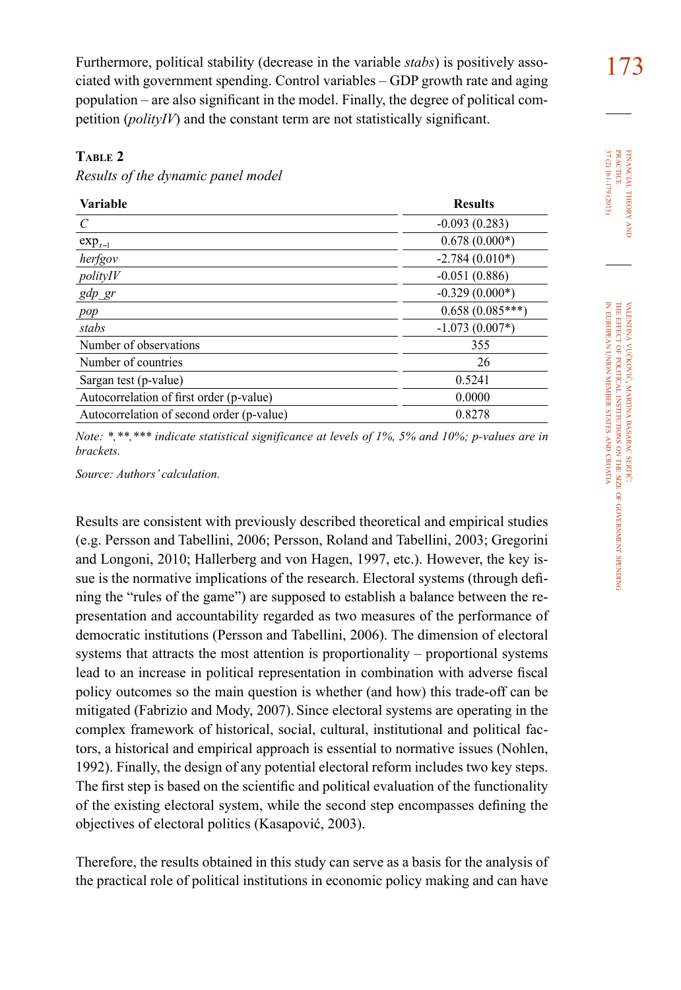Furthermore, political stability (decrease in the variable *stabs*) is positively associated with government spending. Control variables – GDP growth rate and aging population – are also significant in the model. Finally, the degree of political competition (*polityIV*) and the constant term are not statistically significant.

### **Table 2**

*Results of the dynamic panel model*

| <b>Results</b>    |
|-------------------|
| $-0.093(0.283)$   |
| $0.678(0.000*)$   |
| $-2.784(0.010*)$  |
| $-0.051(0.886)$   |
| $-0.329(0.000*)$  |
| $0.658(0.085***)$ |
| $-1.073(0.007*)$  |
| 355               |
| 26                |
| 0.5241            |
| 0.0000            |
| 0.8278            |
|                   |

*Note: \*,\*\*,\*\*\* indicate statistical significance at levels of 1%, 5% and 10%; p-values are in brackets.*

*Source: Authors' calculation.*

Results are consistent with previously described theoretical and empirical studies (e.g. Persson and Tabellini, 2006; Persson, Roland and Tabellini, 2003; Gregorini and Longoni, 2010; Hallerberg and von Hagen, 1997, etc.). However, the key issue is the normative implications of the research. Electoral systems (through defining the "rules of the game") are supposed to establish a balance between the representation and accountability regarded as two measures of the performance of democratic institutions (Persson and Tabellini, 2006). The dimension of electoral systems that attracts the most attention is proportionality – proportional systems lead to an increase in political representation in combination with adverse fiscal policy outcomes so the main question is whether (and how) this trade-off can be mitigated (Fabrizio and Mody, 2007). Since electoral systems are operating in the complex framework of historical, social, cultural, institutional and political factors, a historical and empirical approach is essential to normative issues (Nohlen, 1992). Finally, the design of any potential electoral reform includes two key steps. The first step is based on the scientific and political evaluation of the functionality of the existing electoral system, while the second step encompasses defining the objectives of electoral politics (Kasapović, 2003).

Therefore, the results obtained in this study can serve as a basis for the analysis of the practical role of political institutions in economic policy making and can have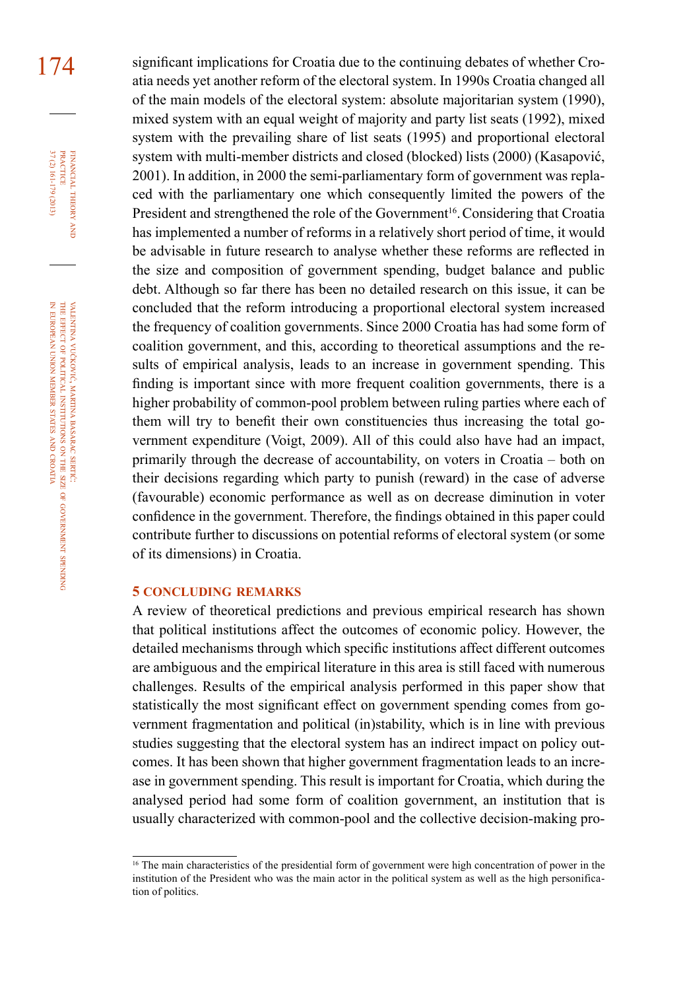174 significant implications for Croatia due to the continuing debates of whether Croatia needs yet another reform of the electoral system. In 1990s Croatia changed all of the main models of the electoral system: absolute majoritarian system (1990), mixed system with an equal weight of majority and party list seats (1992), mixed system with the prevailing share of list seats (1995) and proportional electoral system with multi-member districts and closed (blocked) lists (2000) (Kasapović, 2001). In addition, in 2000 the semi-parliamentary form of government was replaced with the parliamentary one which consequently limited the powers of the President and strengthened the role of the Government<sup>16</sup>. Considering that Croatia has implemented a number of reforms in a relatively short period of time, it would be advisable in future research to analyse whether these reforms are reflected in the size and composition of government spending, budget balance and public debt. Although so far there has been no detailed research on this issue, it can be concluded that the reform introducing a proportional electoral system increased the frequency of coalition governments. Since 2000 Croatia has had some form of coalition government, and this, according to theoretical assumptions and the results of empirical analysis, leads to an increase in government spending. This finding is important since with more frequent coalition governments, there is a higher probability of common-pool problem between ruling parties where each of them will try to benefit their own constituencies thus increasing the total government expenditure (Voigt, 2009). All of this could also have had an impact, primarily through the decrease of accountability, on voters in Croatia – both on their decisions regarding which party to punish (reward) in the case of adverse (favourable) economic performance as well as on decrease diminution in voter confidence in the government. Therefore, the findings obtained in this paper could contribute further to discussions on potential reforms of electoral system (or some of its dimensions) in Croatia.

#### **5 concluding remarks**

A review of theoretical predictions and previous empirical research has shown that political institutions affect the outcomes of economic policy. However, the detailed mechanisms through which specific institutions affect different outcomes are ambiguous and the empirical literature in this area is still faced with numerous challenges. Results of the empirical analysis performed in this paper show that statistically the most significant effect on government spending comes from government fragmentation and political (in)stability, which is in line with previous studies suggesting that the electoral system has an indirect impact on policy outcomes. It has been shown that higher government fragmentation leads to an increase in government spending. This result is important for Croatia, which during the analysed period had some form of coalition government, an institution that is usually characterized with common-pool and the collective decision-making pro-

financial

FINANCIAL THEORY<br>PRACTICE 37 (2) 161-179 (2013)

37 (2) 161-179 (2013) PRACTICE

theory and

<sup>&</sup>lt;sup>16</sup> The main characteristics of the presidential form of government were high concentration of power in the institution of the President who was the main actor in the political system as well as the high personification of politics.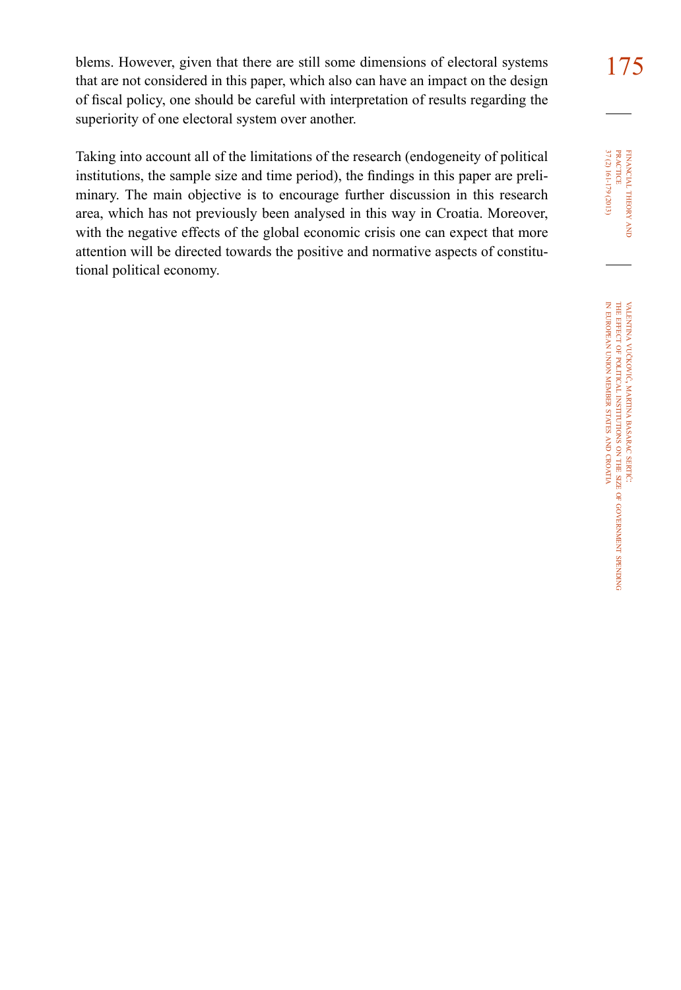blems. However, given that there are still some dimensions of electoral systems  $175$ that are not considered in this paper, which also can have an impact on the design of fiscal policy, one should be careful with interpretation of results regarding the superiority of one electoral system over another.

Taking into account all of the limitations of the research (endogeneity of political institutions, the sample size and time period), the findings in this paper are preliminary. The main objective is to encourage further discussion in this research area, which has not previously been analysed in this way in Croatia. Moreover, with the negative effects of the global economic crisis one can expect that more attention will be directed towards the positive and normative aspects of constitutional political economy.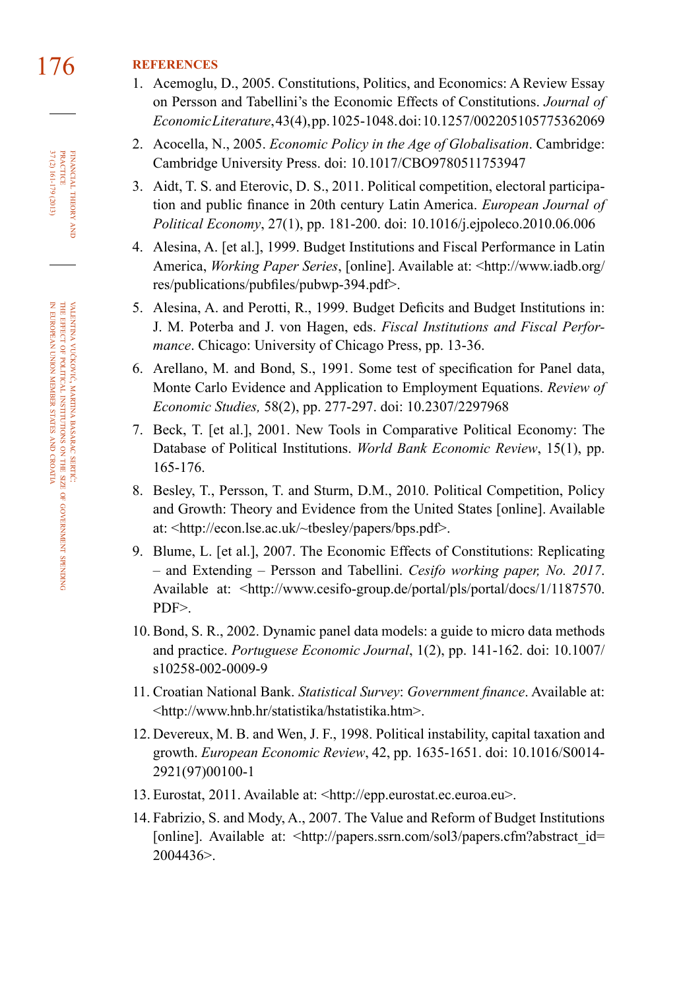# 176 **references**

- 1. Acemoglu, D., 2005. Constitutions, Politics, and Economics: A Review Essay on Persson and Tabellini's the Economic Effects of Constitutions. *Journal of Economic Literature*, 43(4), pp. 1025-1048. doi: [10.1257/002205105775362069](http://dx.doi.org/10.1257/002205105775362069)
- 2. Acocella, N., 2005. *Economic Policy in the Age of Globalisation*. Cambridge: Cambridge University Press. doi: [10.1017/CBO9780511753947](http://dx.doi.org/10.1017/CBO9780511753947)
- 3. Aidt, T. S. and Eterovic, D. S., 2011. Political competition, electoral participation and public finance in 20th century Latin America. *European Journal of Political Economy*, 27(1), pp. 181-200. doi: [10.1016/j.ejpoleco.2010.06.006](http://dx.doi.org/10.1016/j.ejpoleco.2010.06.006)
- 4. Alesina, A. [et al.], 1999. Budget Institutions and Fiscal Performance in Latin America, *Working Paper Series*, [online]. Available at: <http://www.iadb.org/ res/publications/pubfiles/pubwp-394.pdf>.
- 5. Alesina, A. and Perotti, R., 1999. Budget Deficits and Budget Institutions in: J. M. Poterba and J. von Hagen, eds. *Fiscal Institutions and Fiscal Performance*. Chicago: University of Chicago Press, pp. 13-36.
- 6. Arellano, M. and Bond, S., 1991. Some test of specification for Panel data, Monte Carlo Evidence and Application to Employment Equations. *Review of Economic Studies,* 58(2), pp. 277-297. doi: [10.2307/2297968](http://dx.doi.org/10.2307/2297968)
- 7. Beck, T. [et al.], 2001. [New Tools in Comparative Political Economy: The](http://econ.worldbank.org/external/default/main?pagePK=64165259&theSitePK=469372&piPK=64165421&menuPK=64166093&entityID=000012009_20060203112237)  [Database of Political Institutions](http://econ.worldbank.org/external/default/main?pagePK=64165259&theSitePK=469372&piPK=64165421&menuPK=64166093&entityID=000012009_20060203112237). *World Bank Economic Review*, 15(1), pp. 165-176.
- 8. Besley, T., Persson, T. and Sturm, D.M., 2010. Political Competition, Policy and Growth: Theory and Evidence from the United States [online]. Available at: <http://econ.lse.ac.uk/~tbesley/papers/bps.pdf>.
- 9. Blume, L. [et al.], 2007. The Economic Effects of Constitutions: Replicating – and Extending – Persson and Tabellini. *Cesifo working paper, No. 2017*. Available at: <http://www.cesifo-group.de/portal/pls/portal/docs/1/1187570. PDF>.
- 10. Bond, S. R., 2002. Dynamic panel data models: a guide to micro data methods and practice. *Portuguese Economic Journal*, 1(2), pp. 141-162. doi: [10.1007/](http://dx.doi.org/10.1007/s10258-002-0009-9) [s10258-002-0009-9](http://dx.doi.org/10.1007/s10258-002-0009-9)
- 11. Croatian National Bank. *Statistical Survey*: *Government finance*. Available at: <http://www.hnb.hr/statistika/hstatistika.htm>.
- 12. Devereux, M. B. and Wen, J. F., 1998. Political instability, capital taxation and growth. *European Economic Review*, 42, pp. 1635-1651. doi: [10.1016/S0014-](http://dx.doi.org/10.1016/S0014-2921(97)00100-1) [2921\(97\)00100-1](http://dx.doi.org/10.1016/S0014-2921(97)00100-1)
- 13. Eurostat, 2011. Available at: <http://epp.eurostat.ec.euroa.eu>.
- 14. Fabrizio, S. and Mody, A., 2007. The Value and Reform of Budget Institutions [online]. Available at: <http://papers.ssrn.com/sol3/papers.cfm?abstract\_id= 2004436>.

37 (2) 161-179 (2013) FINANCIAL THEORY<br>PRACTICE 37 (2) 161-179 (2013) PRACTICE financial theory and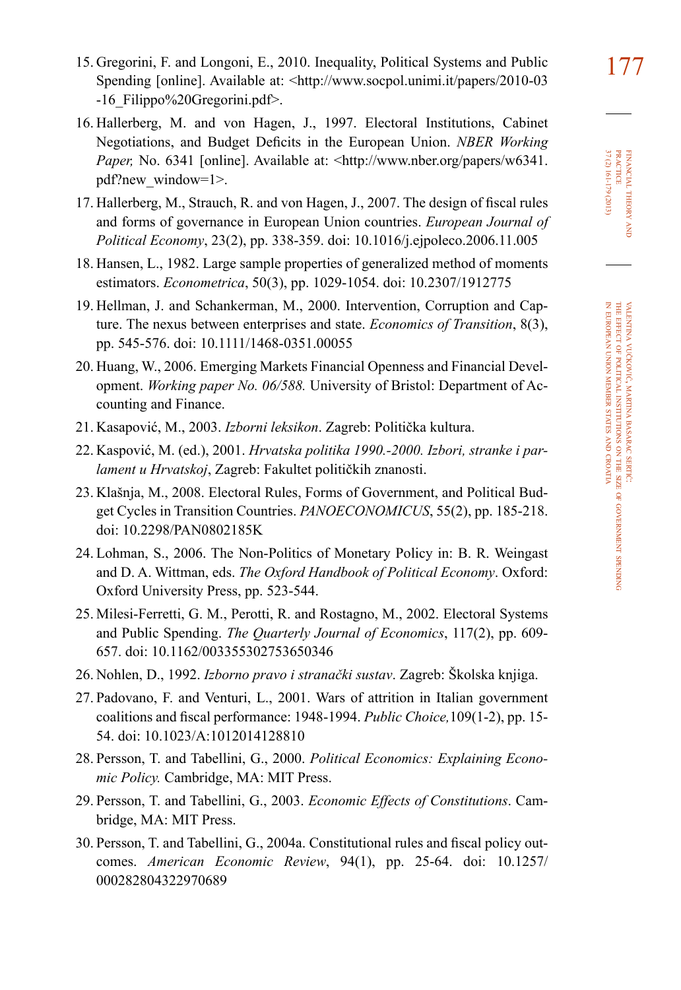- 16. Hallerberg, M. and von Hagen, J., 1997. Electoral Institutions, Cabinet Negotiations, and Budget Deficits in the European Union. *NBER Working Paper, No.* 6341 [online]. Available at: <http://www.nber.org/papers/w6341. pdf?new\_window=1>.
- 17. Hallerberg, M., Strauch, R. and von Hagen, J., 2007. The design of fiscal rules and forms of governance in European Union countries. *European Journal of Political Economy*, 23(2), pp. 338-359. doi: [10.1016/j.ejpoleco.2006.11.005](http://dx.doi.org/10.1016/j.ejpoleco.2006.11.005)
- 18. Hansen, L., 1982. Large sample properties of generalized method of moments estimators. *Econometrica*, 50(3), pp. 1029-1054. doi: [10.2307/1912775](http://dx.doi.org/10.2307/1912775)
- 19. Hellman, J. and Schankerman, M., 2000. Intervention, Corruption and Capture. The nexus between enterprises and state. *Economics of Transition*, 8(3), pp. 545-576. doi: [10.1111/1468-0351.00055](http://dx.doi.org/10.1111/1468-0351.00055)
- 20. Huang, W., 2006. Emerging Markets Financial Openness and Financial Development. *Working paper No. 06/588.* University of Bristol: Department of Accounting and Finance.
- 21. Kasapović, M., 2003. *Izborni leksikon*. Zagreb: Politička kultura.
- 22. Kaspović, M. (ed.), 2001. *Hrvatska politika 1990.-2000. Izbori, stranke i parlament u Hrvatskoj*, Zagreb: Fakultet političkih znanosti.
- 23. Klašnja, M., 2008. Electoral Rules, Forms of Government, and Political Budget Cycles in Transition Countries. *PANOECONOMICUS*, 55(2), pp. 185-218. doi: [10.2298/PAN0802185K](http://dx.doi.org/10.2298/PAN0802185K)
- 24. Lohman, S., 2006. The Non-Politics of Monetary Policy in: B. R. Weingast and D. A. Wittman, eds. *The Oxford Handbook of Political Economy*. Oxford: Oxford University Press, pp. 523-544.
- 25. Milesi-Ferretti, G. M., Perotti, R. and Rostagno, M., 2002. Electoral Systems and Public Spending. *The Quarterly Journal of Economics*, 117(2), pp. 609- 657. doi: [10.1162/003355302753650346](http://dx.doi.org/10.1162/003355302753650346)
- 26. Nohlen, D., 1992. *Izborno pravo i stranački sustav*. Zagreb: Školska knjiga.
- 27. Padovano, F. and Venturi, L., 2001. Wars of attrition in Italian government coalitions and fiscal performance: 1948-1994. *Public Choice,*109(1-2), pp. 15- 54. doi: [10.1023/A:1012014128810](http://dx.doi.org/10.1023/A:1012014128810)
- 28. Persson, T. and Tabellini, G., 2000. *Political Economics: Explaining Economic Policy.* Cambridge, MA: MIT Press.
- 29. Persson, T. and Tabellini, G., 2003. *Economic Effects of Constitutions*. Cambridge, MA: MIT Press.
- 30. Persson, T. and Tabellini, G., 2004a. Constitutional rules and fiscal policy outcomes. *American Economic Review*, 94(1), pp. 25-64. doi: [10.1257/](http://dx.doi.org/10.1257/000282804322970689) [000282804322970689](http://dx.doi.org/10.1257/000282804322970689)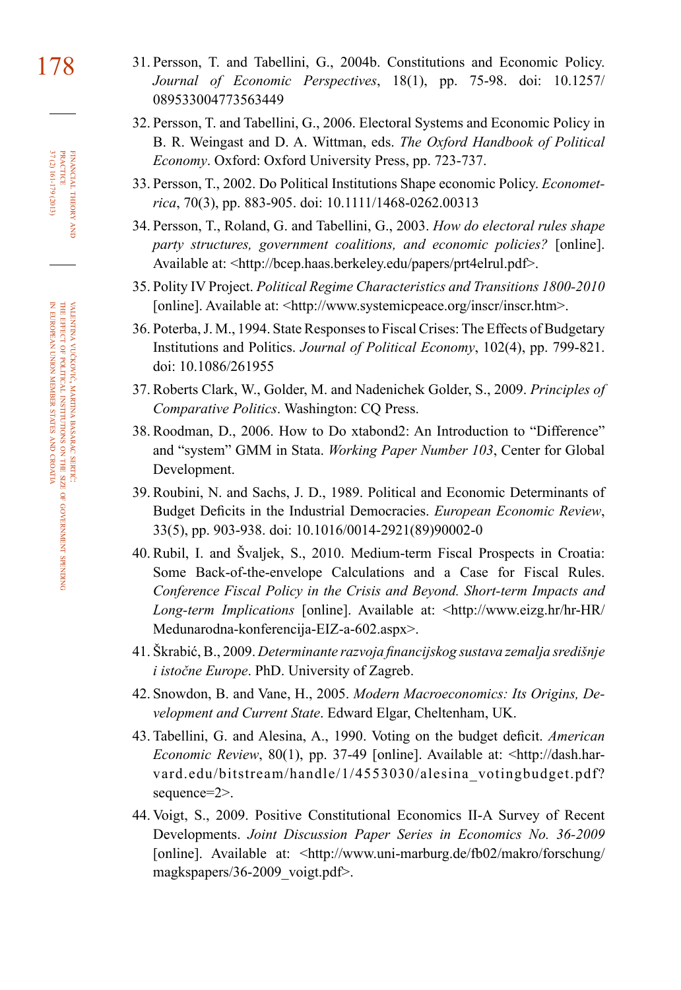- 178 31. Persson, T. and Tabellini, G., 2004b. Constitutions and Economic Policy. *Journal of Economic Perspectives*, 18(1), pp. 75-98. doi: [10.1257/](http://dx.doi.org/10.1257/089533004773563449) [089533004773563449](http://dx.doi.org/10.1257/089533004773563449)
	- 32. Persson, T. and Tabellini, G., 2006. Electoral Systems and Economic Policy in B. R. Weingast and D. A. Wittman, eds. *The Oxford Handbook of Political Economy*. Oxford: Oxford University Press, pp. 723-737.
	- 33. Persson, T., 2002. Do Political Institutions Shape economic Policy. *Econometrica*, 70(3), pp. 883-905. doi: [10.1111/1468-0262.00313](http://dx.doi.org/10.1111/1468-0262.00313)
	- 34. Persson, T., Roland, G. and Tabellini, G., 2003. *How do electoral rules shape party structures, government coalitions, and economic policies?* [online]. Available at: <http://bcep.haas.berkeley.edu/papers/prt4elrul.pdf>.
	- 35. Polity IV Project. *Political Regime Characteristics and Transitions 1800-2010* [online]. Available at: <http://www.systemicpeace.org/inscr/inscr.htm>.
	- 36. Poterba, J. M., 1994. State Responses to Fiscal Crises: The Effects of Budgetary Institutions and Politics. *Journal of Political Economy*, 102(4), pp. 799-821. doi: [10.1086/261955](http://dx.doi.org/10.1086/261955)
	- 37. Roberts Clark, W., Golder, M. and Nadenichek Golder, S., 2009. *Principles of Comparative Politics*. Washington: CQ Press.
	- 38. Roodman, D., 2006. How to Do xtabond2: An Introduction to "Difference" and "system" GMM in Stata. *Working Paper Number 103*, Center for Global Development.
	- 39. Roubini, N. and Sachs, J. D., 1989. Political and Economic Determinants of Budget Deficits in the Industrial Democracies. *European Economic Review*, 33(5), pp. 903-938. doi: [10.1016/0014-2921\(89\)90002-0](http://dx.doi.org/10.1016/0014-2921(89)90002-0)
	- 40. Rubil, I. and Švaljek, S., 2010. Medium-term Fiscal Prospects in Croatia: Some Back-of-the-envelope Calculations and a Case for Fiscal Rules. *Conference Fiscal Policy in the Crisis and Beyond. Short-term Impacts and Long-term Implications* [online]. Available at: <http://www.eizg.hr/hr-HR/ Medunarodna-konferencija-EIZ-a-602.aspx>.
	- 41. Škrabić, B., 2009. *Determinante razvoja financijskog sustava zemalja središnje i istočne Europe*. PhD. University of Zagreb.
	- 42. Snowdon, B. and Vane, H., 2005. *Modern Macroeconomics: Its Origins, Development and Current State*. Edward Elgar, Cheltenham, UK.
	- 43. Tabellini, G. and Alesina, A., 1990. Voting on the budget deficit. *American Economic Review*, 80(1), pp. 37-49 [online]. Available at: [<http://dash.har](http://dash.harvard.edu/bitstream/handle/1/4553030/alesina_votingbudget.pdf)[vard.edu/bitstream/handle/1/4553030/alesina\\_votingbudget.pdf?](http://dash.harvard.edu/bitstream/handle/1/4553030/alesina_votingbudget.pdf) [sequence=2>](http://dash.harvard.edu/bitstream/handle/1/4553030/alesina_votingbudget.pdf).
	- 44. Voigt, S., 2009. Positive Constitutional Economics II-A Survey of Recent Developments. *Joint Discussion Paper Series in Economics No. 36-2009* [online]. Available at: <http://www.uni-marburg.de/fb02/makro/forschung/ magkspapers/36-2009\_voigt.pdf>.

37 (2) 161-179 (2013) FINANCIAL THEORY<br>PRACTICE 37 (2) 161-179 (2013) PRACTICE financial theory and